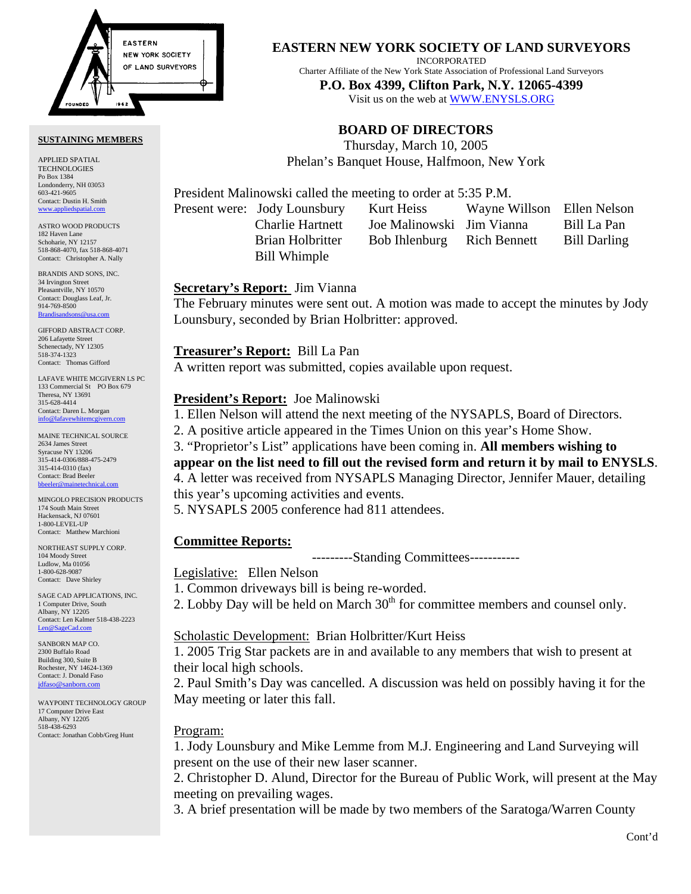

#### **SUSTAINING MEMBERS**

APPLIED SPATIAL TECHNOLOGIES Po Box 1384 Londonderry, NH 03053 603-421-9605 Contact: Dustin H. Smith <www.appliedspatial.com>

ASTRO WOOD PRODUCTS 182 Haven Lane Schoharie, NY 12157 518-868-4070, fax 518-868-4071 Contact: Christopher A. Nally

BRANDIS AND SONS, INC. 34 Irvington Street Pleasantville, NY 10570 Contact: Douglass Leaf, Jr. 914-769-8500 [Brandisandsons@usa.com](mailto:brandisandsons@usa.com)

GIFFORD ABSTRACT CORP. 206 Lafayette Street Schenectady, NY 12305 518-374-1323 Contact: Thomas Gifford

LAFAVE WHITE MCGIVERN LS PC 133 Commercial St PO Box 679 Theresa, NY 13691 315-628-4414 Contact: Daren L. Morgan [info@lafavewhitemcgivern.com](mailto:info@lafavewhitemcgivern.com)

MAINE TECHNICAL SOURCE 2634 James Street Syracuse NY 13206 315-414-0306/888-475-2479 315-414-0310 (fax) Contact: Brad Beeler [bbeeler@mainetechnical.com](mailto:bbeeler@mainetechnical.com)

MINGOLO PRECISION PRODUCTS 174 South Main Street Hackensack, NJ 07601 1-800-LEVEL-UP Contact: Matthew Marchioni

NORTHEAST SUPPLY CORP. 104 Moody Street Ludlow, Ma 01056 1-800-628-9087 Contact: Dave Shirley

SAGE CAD APPLICATIONS, INC. 1 Computer Drive, South Albany, NY 12205 Contact: Len Kalmer 518-438-2223 [Len@SageCad.com](mailto:len@sagecad.com)

SANBORN MAP CO. 2300 Buffalo Road Building 300, Suite B Rochester, NY 14624-1369 Contact: J. Donald Faso [jdfaso@sanborn.com](mailto:jdfaso@sanborn.com)

WAYPOINT TECHNOLOGY GROUP 17 Computer Drive East Albany, NY 12205 518-438-6293 Contact: Jonathan Cobb/Greg Hunt

#### **EASTERN NEW YORK SOCIETY OF LAND SURVEYORS**

INCORPORATED

Charter Affiliate of the New York State Association of Professional Land Surveyors

**P.O. Box 4399, Clifton Park, N.Y. 12065-4399**  Visit us on the web a[t WWW.ENYSLS.ORG](www.enysls.org)

# **BOARD OF DIRECTORS**

Thursday, March 10, 2005 Phelan's Banquet House, Halfmoon, New York

President Malinowski called the meeting to order at 5:35 P.M.

Bill Whimple

Present were: Jody Lounsbury Kurt Heiss Wayne Willson Ellen Nelson Charlie Hartnett Joe Malinowski Jim Vianna Bill La Pan Brian Holbritter Bob Ihlenburg Rich Bennett Bill Darling

#### **Secretary's Report:** Jim Vianna

The February minutes were sent out. A motion was made to accept the minutes by Jody Lounsbury, seconded by Brian Holbritter: approved.

#### **Treasurer's Report:** Bill La Pan

A written report was submitted, copies available upon request.

## **President's Report:** Joe Malinowski

1. Ellen Nelson will attend the next meeting of the NYSAPLS, Board of Directors.

2. A positive article appeared in the Times Union on this year's Home Show.

3. "Proprietor's List" applications have been coming in. **All members wishing to** 

**appear on the list need to fill out the revised form and return it by mail to ENYSLS**. 4. A letter was received from NYSAPLS Managing Director, Jennifer Mauer, detailing this year's upcoming activities and events.

5. NYSAPLS 2005 conference had 811 attendees.

## **Committee Reports:**

---------Standing Committees-----------

Legislative: Ellen Nelson

1. Common driveways bill is being re-worded.

2. Lobby Day will be held on March  $30<sup>th</sup>$  for committee members and counsel only.

## Scholastic Development: Brian Holbritter/Kurt Heiss

1. 2005 Trig Star packets are in and available to any members that wish to present at their local high schools.

2. Paul Smith's Day was cancelled. A discussion was held on possibly having it for the May meeting or later this fall.

## Program:

1. Jody Lounsbury and Mike Lemme from M.J. Engineering and Land Surveying will present on the use of their new laser scanner.

2. Christopher D. Alund, Director for the Bureau of Public Work, will present at the May meeting on prevailing wages.

3. A brief presentation will be made by two members of the Saratoga/Warren County